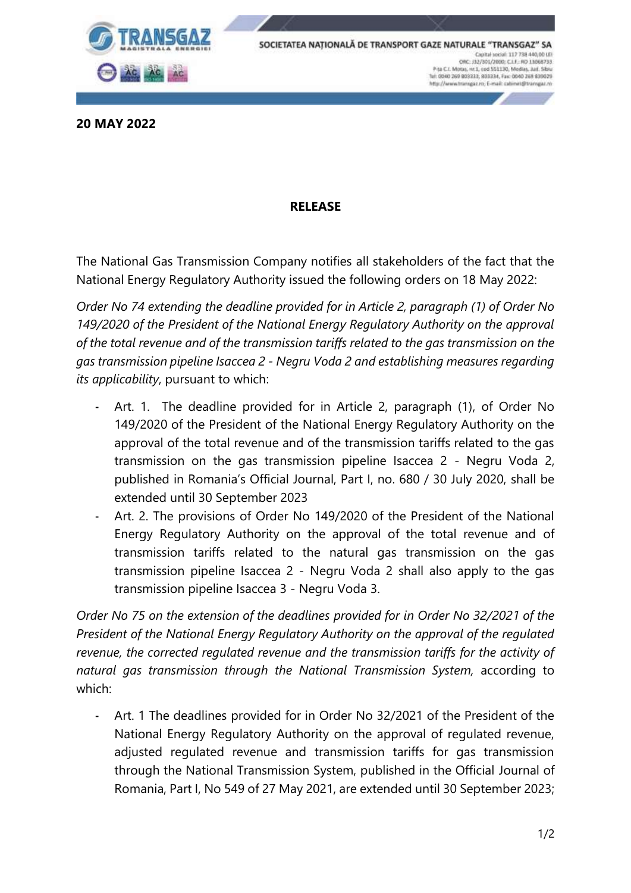

**20 MAY 2022**

## **RELEASE**

The National Gas Transmission Company notifies all stakeholders of the fact that the National Energy Regulatory Authority issued the following orders on 18 May 2022:

*Order No 74 extending the deadline provided for in Article 2, paragraph (1) of Order No 149/2020 of the President of the National Energy Regulatory Authority on the approval of the total revenue and of the transmission tariffs related to the gas transmission on the gas transmission pipeline Isaccea 2 - Negru Voda 2 and establishing measures regarding its applicability*, pursuant to which:

- Art. 1. The deadline provided for in Article 2, paragraph (1), of Order No 149/2020 of the President of the National Energy Regulatory Authority on the approval of the total revenue and of the transmission tariffs related to the gas transmission on the gas transmission pipeline Isaccea 2 - Negru Voda 2, published in Romania's Official Journal, Part I, no. 680 / 30 July 2020, shall be extended until 30 September 2023
- Art. 2. The provisions of Order No 149/2020 of the President of the National Energy Regulatory Authority on the approval of the total revenue and of transmission tariffs related to the natural gas transmission on the gas transmission pipeline Isaccea 2 - Negru Voda 2 shall also apply to the gas transmission pipeline Isaccea 3 - Negru Voda 3.

*Order No 75 on the extension of the deadlines provided for in Order No 32/2021 of the President of the National Energy Regulatory Authority on the approval of the regulated revenue, the corrected regulated revenue and the transmission tariffs for the activity of natural gas transmission through the National Transmission System,* according to which:

- Art. 1 The deadlines provided for in Order No 32/2021 of the President of the National Energy Regulatory Authority on the approval of regulated revenue, adjusted regulated revenue and transmission tariffs for gas transmission through the National Transmission System, published in the Official Journal of Romania, Part I, No 549 of 27 May 2021, are extended until 30 September 2023;